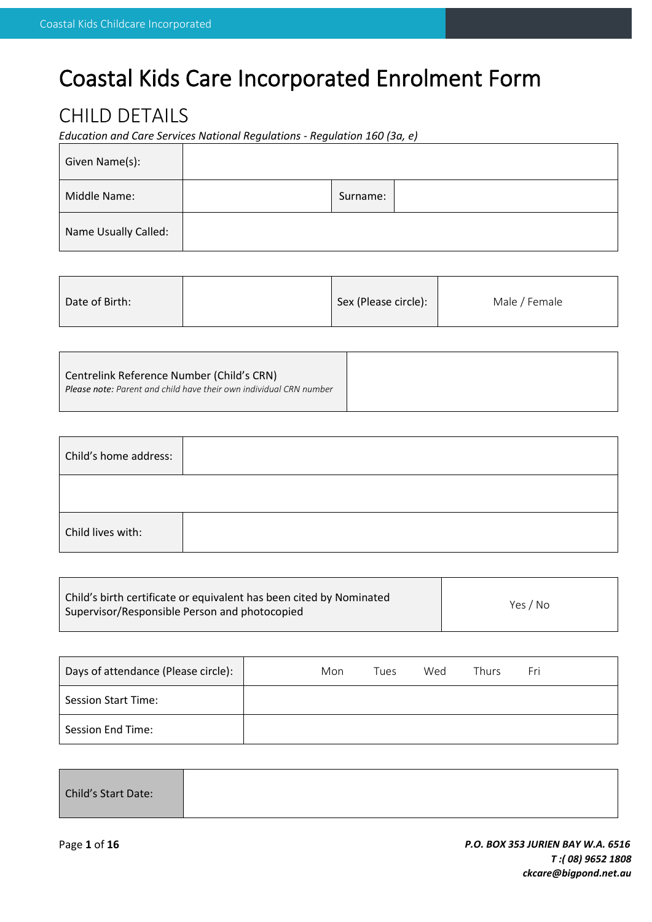# Coastal Kids Care Incorporated Enrolment Form

### CHILD DETAILS

*Education and Care Services National Regulations - Regulation 160 (3a, e)*

| Given Name(s):       |          |  |
|----------------------|----------|--|
| Middle Name:         | Surname: |  |
| Name Usually Called: |          |  |

| Date of Birth: |  | Sex (Please circle): | Male / Female |
|----------------|--|----------------------|---------------|
|----------------|--|----------------------|---------------|

| Centrelink Reference Number (Child's CRN)                                 |
|---------------------------------------------------------------------------|
| <b>Please note:</b> Parent and child have their own individual CRN number |
|                                                                           |

| Child's home address: |  |
|-----------------------|--|
|                       |  |
| Child lives with:     |  |

| Child's birth certificate or equivalent has been cited by Nominated<br>Supervisor/Responsible Person and photocopied | Yes / No |
|----------------------------------------------------------------------------------------------------------------------|----------|
|----------------------------------------------------------------------------------------------------------------------|----------|

| Days of attendance (Please circle): | Mon | Tues | Wed | Thurs | Fri |
|-------------------------------------|-----|------|-----|-------|-----|
| <b>Session Start Time:</b>          |     |      |     |       |     |
| Session End Time:                   |     |      |     |       |     |

| Child's Start Date: |  |  |  |
|---------------------|--|--|--|
|---------------------|--|--|--|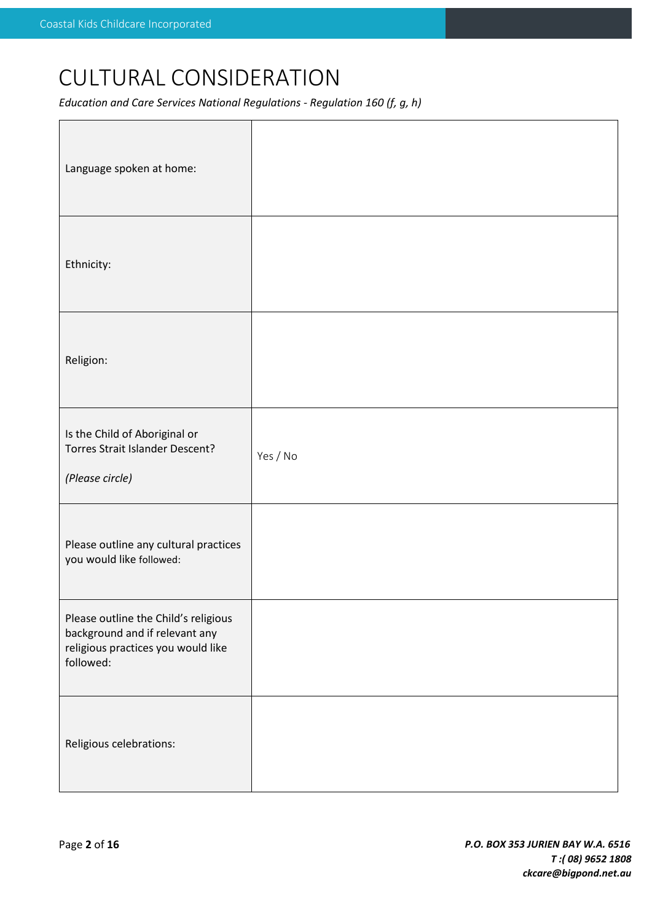# CULTURAL CONSIDERATION

*Education and Care Services National Regulations - Regulation 160 (f, g, h)*

| Language spoken at home:                                                                                                  |          |
|---------------------------------------------------------------------------------------------------------------------------|----------|
| Ethnicity:                                                                                                                |          |
| Religion:                                                                                                                 |          |
| Is the Child of Aboriginal or<br>Torres Strait Islander Descent?<br>(Please circle)                                       | Yes / No |
| Please outline any cultural practices<br>you would like followed:                                                         |          |
| Please outline the Child's religious<br>background and if relevant any<br>religious practices you would like<br>followed: |          |
| Religious celebrations:                                                                                                   |          |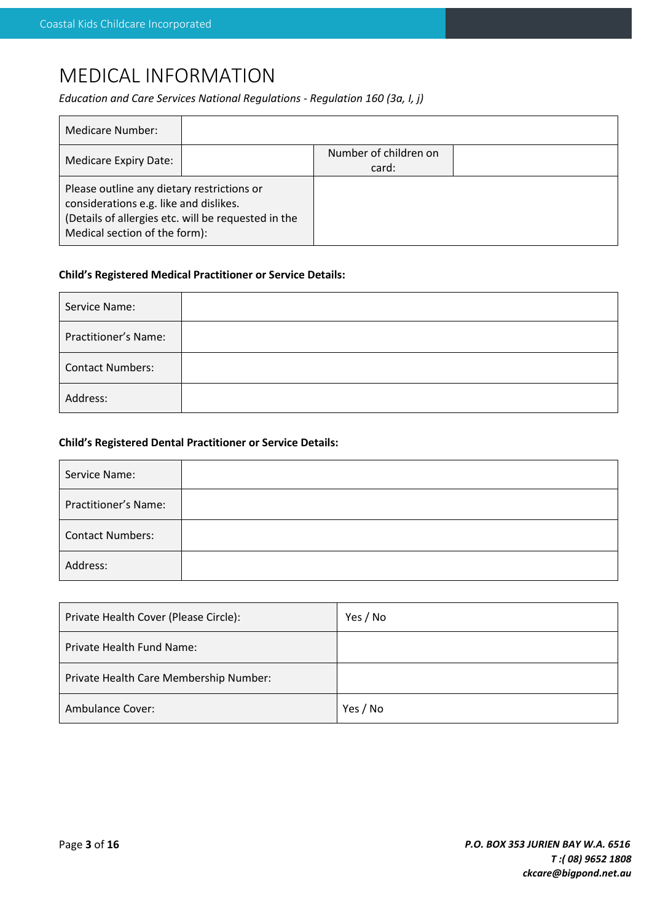## MEDICAL INFORMATION

*Education and Care Services National Regulations - Regulation 160 (3a, I, j)*

| <b>Medicare Number:</b>                                                                                                                                                      |  |                                |  |
|------------------------------------------------------------------------------------------------------------------------------------------------------------------------------|--|--------------------------------|--|
| Medicare Expiry Date:                                                                                                                                                        |  | Number of children on<br>card: |  |
| Please outline any dietary restrictions or<br>considerations e.g. like and dislikes.<br>(Details of allergies etc. will be requested in the<br>Medical section of the form): |  |                                |  |

#### **Child's Registered Medical Practitioner or Service Details:**

| Service Name:           |  |
|-------------------------|--|
| Practitioner's Name:    |  |
| <b>Contact Numbers:</b> |  |
| Address:                |  |

#### **Child's Registered Dental Practitioner or Service Details:**

| Service Name:               |  |
|-----------------------------|--|
| <b>Practitioner's Name:</b> |  |
| <b>Contact Numbers:</b>     |  |
| Address:                    |  |

| Private Health Cover (Please Circle):  | Yes / No |
|----------------------------------------|----------|
| <b>Private Health Fund Name:</b>       |          |
| Private Health Care Membership Number: |          |
| Ambulance Cover:                       | Yes / No |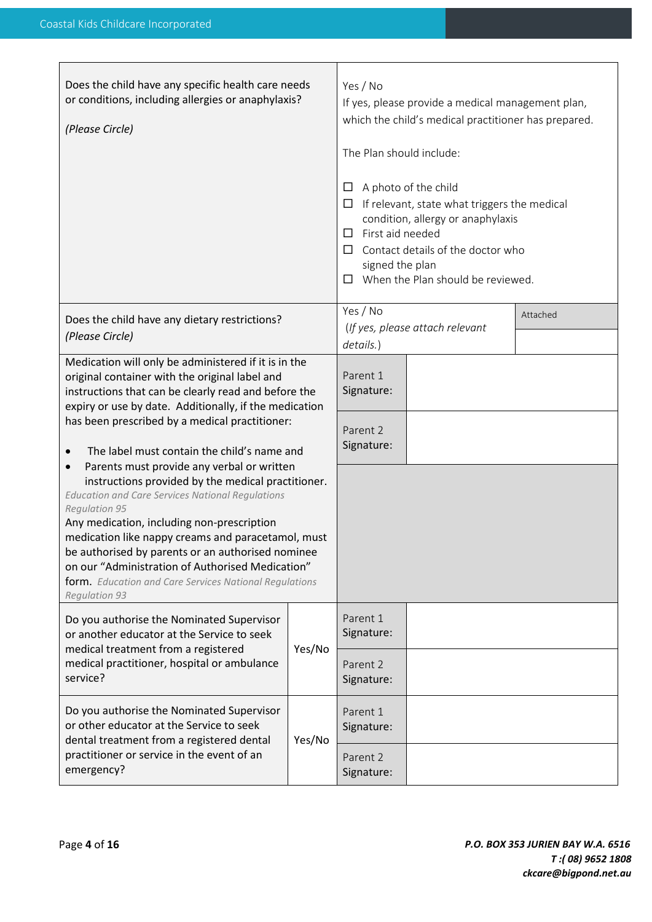| Does the child have any specific health care needs<br>or conditions, including allergies or anaphylaxis?<br>(Please Circle)                                                                                                                                                                                                                                                                                                                                                                                                                                                                                                                                                                                                                                                                                           |        | Yes / No<br>If yes, please provide a medical management plan,<br>which the child's medical practitioner has prepared.<br>The Plan should include:<br>A photo of the child<br>ப<br>If relevant, state what triggers the medical<br>ப<br>condition, allergy or anaphylaxis<br>First aid needed<br>$\Box$<br>Contact details of the doctor who<br>$\Box$<br>signed the plan<br>When the Plan should be reviewed.<br>$\Box$ |                                 |          |
|-----------------------------------------------------------------------------------------------------------------------------------------------------------------------------------------------------------------------------------------------------------------------------------------------------------------------------------------------------------------------------------------------------------------------------------------------------------------------------------------------------------------------------------------------------------------------------------------------------------------------------------------------------------------------------------------------------------------------------------------------------------------------------------------------------------------------|--------|-------------------------------------------------------------------------------------------------------------------------------------------------------------------------------------------------------------------------------------------------------------------------------------------------------------------------------------------------------------------------------------------------------------------------|---------------------------------|----------|
| Does the child have any dietary restrictions?<br>(Please Circle)                                                                                                                                                                                                                                                                                                                                                                                                                                                                                                                                                                                                                                                                                                                                                      |        | Yes / No<br>details.)                                                                                                                                                                                                                                                                                                                                                                                                   | (If yes, please attach relevant | Attached |
| Medication will only be administered if it is in the<br>original container with the original label and<br>instructions that can be clearly read and before the<br>expiry or use by date. Additionally, if the medication<br>has been prescribed by a medical practitioner:<br>The label must contain the child's name and<br>Parents must provide any verbal or written<br>$\bullet$<br>instructions provided by the medical practitioner.<br><b>Education and Care Services National Regulations</b><br>Regulation 95<br>Any medication, including non-prescription<br>medication like nappy creams and paracetamol, must<br>be authorised by parents or an authorised nominee<br>on our "Administration of Authorised Medication"<br>form. Education and Care Services National Regulations<br><b>Regulation 93</b> |        | Parent 1<br>Signature:                                                                                                                                                                                                                                                                                                                                                                                                  |                                 |          |
|                                                                                                                                                                                                                                                                                                                                                                                                                                                                                                                                                                                                                                                                                                                                                                                                                       |        | Parent 2<br>Signature:                                                                                                                                                                                                                                                                                                                                                                                                  |                                 |          |
|                                                                                                                                                                                                                                                                                                                                                                                                                                                                                                                                                                                                                                                                                                                                                                                                                       |        |                                                                                                                                                                                                                                                                                                                                                                                                                         |                                 |          |
| Do you authorise the Nominated Supervisor<br>or another educator at the Service to seek                                                                                                                                                                                                                                                                                                                                                                                                                                                                                                                                                                                                                                                                                                                               | Yes/No | Parent 1<br>Signature:                                                                                                                                                                                                                                                                                                                                                                                                  |                                 |          |
| medical treatment from a registered<br>medical practitioner, hospital or ambulance<br>service?                                                                                                                                                                                                                                                                                                                                                                                                                                                                                                                                                                                                                                                                                                                        |        | Parent 2<br>Signature:                                                                                                                                                                                                                                                                                                                                                                                                  |                                 |          |
| Do you authorise the Nominated Supervisor<br>or other educator at the Service to seek<br>dental treatment from a registered dental<br>Yes/No<br>practitioner or service in the event of an<br>emergency?                                                                                                                                                                                                                                                                                                                                                                                                                                                                                                                                                                                                              |        | Parent 1<br>Signature:                                                                                                                                                                                                                                                                                                                                                                                                  |                                 |          |
|                                                                                                                                                                                                                                                                                                                                                                                                                                                                                                                                                                                                                                                                                                                                                                                                                       |        | Parent 2<br>Signature:                                                                                                                                                                                                                                                                                                                                                                                                  |                                 |          |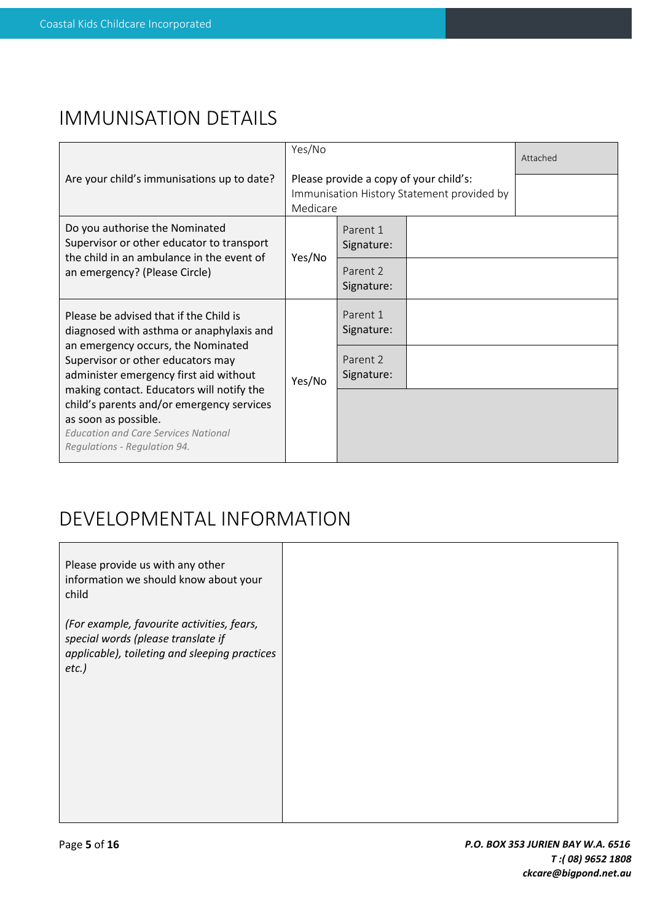### IMMUNISATION DETAILS

|                                                                                                                                                                                               | Yes/No                                                                                           |                        |  | Attached |
|-----------------------------------------------------------------------------------------------------------------------------------------------------------------------------------------------|--------------------------------------------------------------------------------------------------|------------------------|--|----------|
| Are your child's immunisations up to date?                                                                                                                                                    | Please provide a copy of your child's:<br>Immunisation History Statement provided by<br>Medicare |                        |  |          |
| Do you authorise the Nominated<br>Supervisor or other educator to transport<br>the child in an ambulance in the event of                                                                      | Yes/No                                                                                           | Parent 1<br>Signature: |  |          |
| an emergency? (Please Circle)                                                                                                                                                                 |                                                                                                  | Parent 2<br>Signature: |  |          |
| Please be advised that if the Child is<br>diagnosed with asthma or anaphylaxis and                                                                                                            | Yes/No                                                                                           | Parent 1<br>Signature: |  |          |
| an emergency occurs, the Nominated<br>Supervisor or other educators may<br>administer emergency first aid without                                                                             |                                                                                                  | Parent 2<br>Signature: |  |          |
| making contact. Educators will notify the<br>child's parents and/or emergency services<br>as soon as possible.<br><b>Education and Care Services National</b><br>Regulations - Regulation 94. |                                                                                                  |                        |  |          |

# DEVELOPMENTAL INFORMATION

| Please provide us with any other<br>information we should know about your<br>child                                                            |  |
|-----------------------------------------------------------------------------------------------------------------------------------------------|--|
| (For example, favourite activities, fears,<br>special words (please translate if<br>applicable), toileting and sleeping practices<br>$etc.$ ) |  |
|                                                                                                                                               |  |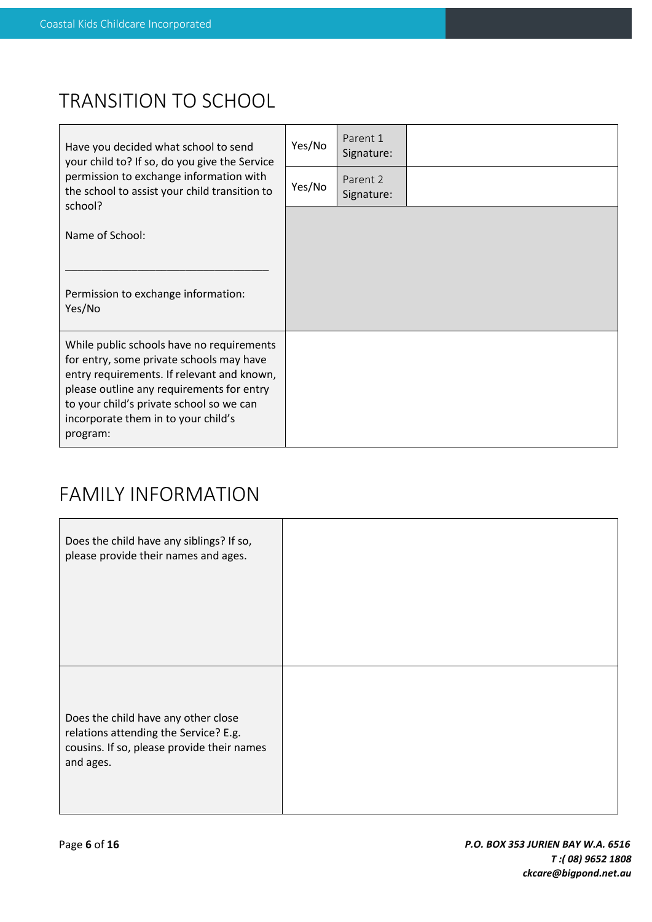# TRANSITION TO SCHOOL

| Have you decided what school to send<br>your child to? If so, do you give the Service                                                                                                                                                                                           | Yes/No | Parent 1<br>Signature: |  |
|---------------------------------------------------------------------------------------------------------------------------------------------------------------------------------------------------------------------------------------------------------------------------------|--------|------------------------|--|
| permission to exchange information with<br>the school to assist your child transition to<br>school?                                                                                                                                                                             | Yes/No | Parent 2<br>Signature: |  |
| Name of School:                                                                                                                                                                                                                                                                 |        |                        |  |
| Permission to exchange information:<br>Yes/No                                                                                                                                                                                                                                   |        |                        |  |
| While public schools have no requirements<br>for entry, some private schools may have<br>entry requirements. If relevant and known,<br>please outline any requirements for entry<br>to your child's private school so we can<br>incorporate them in to your child's<br>program: |        |                        |  |

## FAMILY INFORMATION

| Does the child have any siblings? If so,<br>please provide their names and ages.                                                        |  |
|-----------------------------------------------------------------------------------------------------------------------------------------|--|
| Does the child have any other close<br>relations attending the Service? E.g.<br>cousins. If so, please provide their names<br>and ages. |  |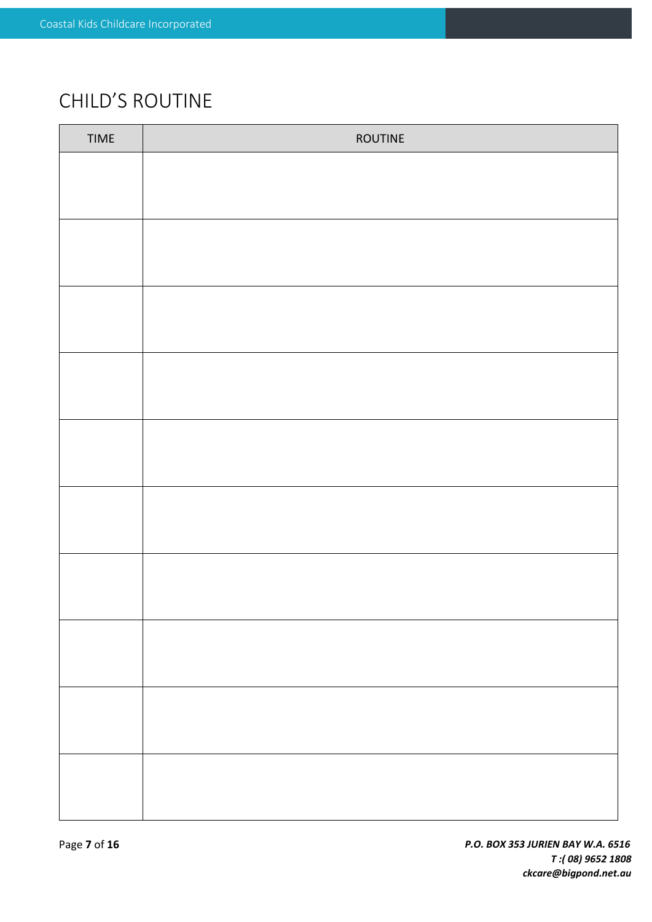# CHILD'S ROUTINE

| TIME | ROUTINE |
|------|---------|
|      |         |
|      |         |
|      |         |
|      |         |
|      |         |
|      |         |
|      |         |
|      |         |
|      |         |
|      |         |
|      |         |
|      |         |
|      |         |
|      |         |
|      |         |
|      |         |
|      |         |
|      |         |
|      |         |
|      |         |
|      |         |
|      |         |
|      |         |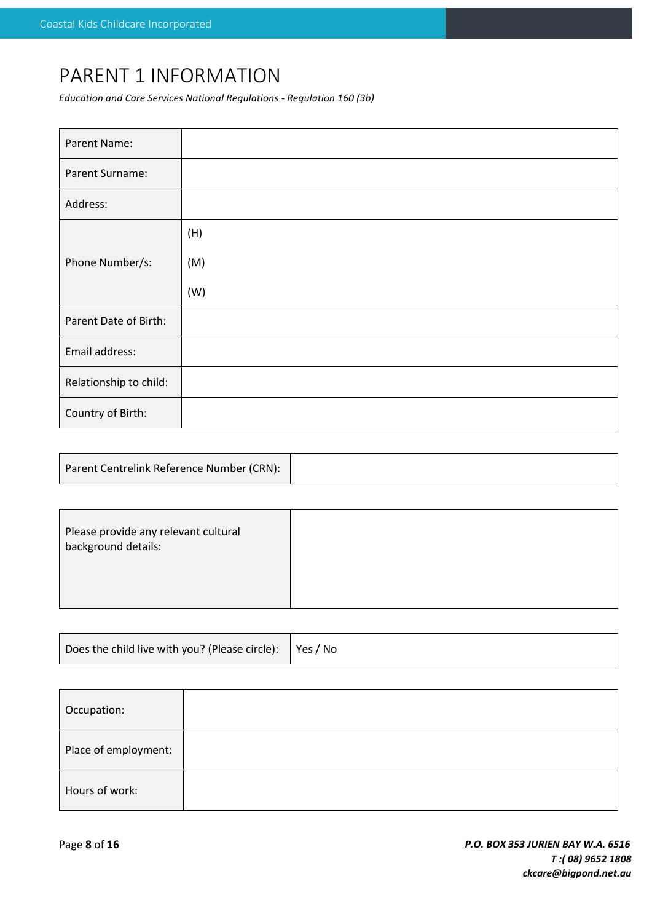## PARENT 1 INFORMATION

*Education and Care Services National Regulations - Regulation 160 (3b)*

| Parent Name:           |     |
|------------------------|-----|
| Parent Surname:        |     |
| Address:               |     |
|                        | (H) |
| Phone Number/s:        | (M) |
|                        | (W) |
| Parent Date of Birth:  |     |
| Email address:         |     |
| Relationship to child: |     |
| Country of Birth:      |     |

| Parent Centrelink Reference Number (CRN): |  |
|-------------------------------------------|--|
|                                           |  |

| Please provide any relevant cultural<br>background details: |  |
|-------------------------------------------------------------|--|
|                                                             |  |

| Does the child live with you? (Please circle):   Yes / No |  |
|-----------------------------------------------------------|--|
|-----------------------------------------------------------|--|

| Occupation:          |  |
|----------------------|--|
| Place of employment: |  |
| Hours of work:       |  |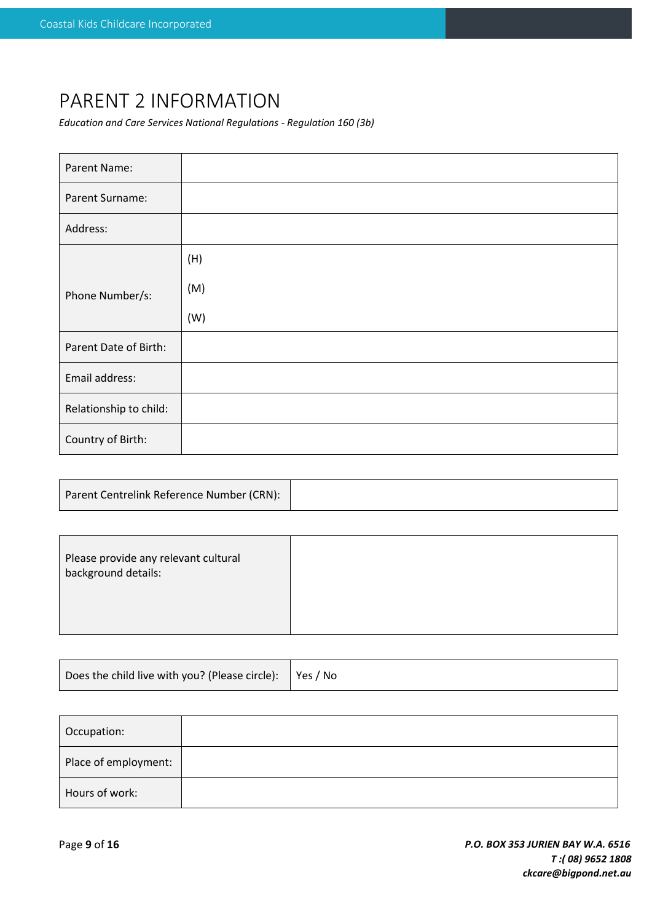## PARENT 2 INFORMATION

*Education and Care Services National Regulations - Regulation 160 (3b)*

| Parent Name:           |     |
|------------------------|-----|
| Parent Surname:        |     |
| Address:               |     |
|                        | (H) |
| Phone Number/s:        | (M) |
|                        | (W) |
| Parent Date of Birth:  |     |
| Email address:         |     |
| Relationship to child: |     |
| Country of Birth:      |     |

| Parent Centrelink Reference Number (CRN): |  |
|-------------------------------------------|--|
|-------------------------------------------|--|

| Please provide any relevant cultural<br>background details: |  |
|-------------------------------------------------------------|--|
|                                                             |  |

| Does the child live with you? (Please circle): $\vert$ Yes / No |  |
|-----------------------------------------------------------------|--|
|-----------------------------------------------------------------|--|

| Occupation:          |  |
|----------------------|--|
| Place of employment: |  |
| Hours of work:       |  |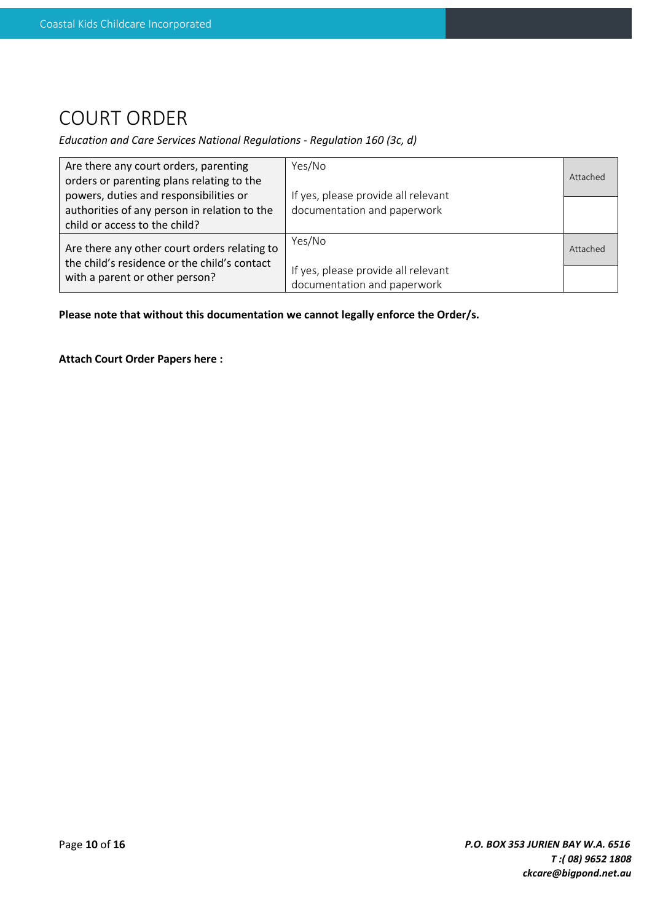## COURT ORDER

#### *Education and Care Services National Regulations - Regulation 160 (3c, d)*

| Are there any court orders, parenting        | Yes/No                              |          |
|----------------------------------------------|-------------------------------------|----------|
| orders or parenting plans relating to the    |                                     | Attached |
| powers, duties and responsibilities or       | If yes, please provide all relevant |          |
| authorities of any person in relation to the | documentation and paperwork         |          |
| child or access to the child?                |                                     |          |
| Are there any other court orders relating to | Yes/No                              | Attached |
| the child's residence or the child's contact |                                     |          |
| with a parent or other person?               | If yes, please provide all relevant |          |
|                                              | documentation and paperwork         |          |

**Please note that without this documentation we cannot legally enforce the Order/s.**

**Attach Court Order Papers here :**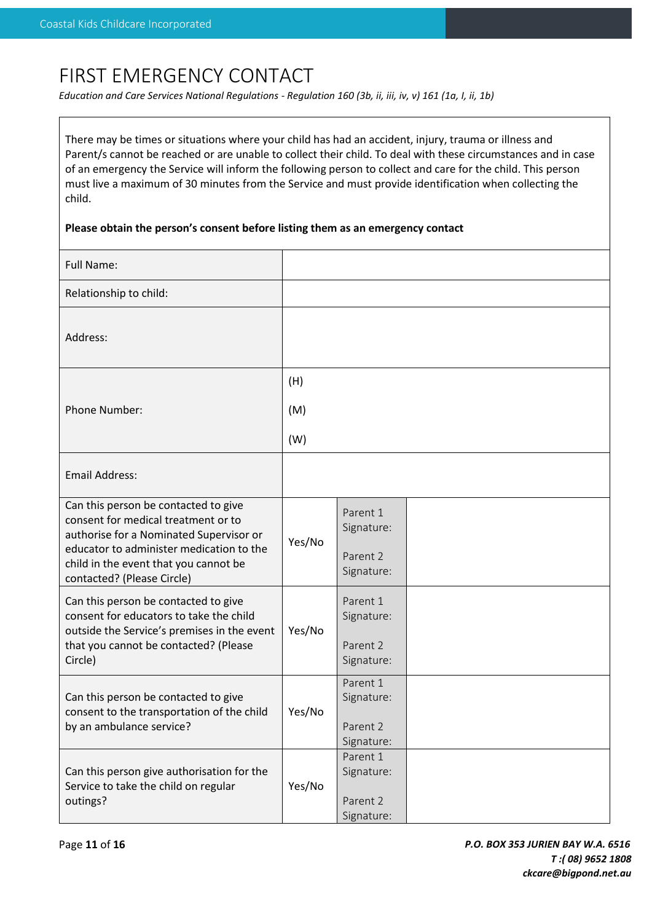## FIRST EMERGENCY CONTACT

*Education and Care Services National Regulations - Regulation 160 (3b, ii, iii, iv, v) 161 (1a, I, ii, 1b)*

There may be times or situations where your child has had an accident, injury, trauma or illness and Parent/s cannot be reached or are unable to collect their child. To deal with these circumstances and in case of an emergency the Service will inform the following person to collect and care for the child. This person must live a maximum of 30 minutes from the Service and must provide identification when collecting the child.

#### **Please obtain the person's consent before listing them as an emergency contact**

| <b>Full Name:</b>                                                                                                                                                                                                                         |        |                                                  |  |
|-------------------------------------------------------------------------------------------------------------------------------------------------------------------------------------------------------------------------------------------|--------|--------------------------------------------------|--|
| Relationship to child:                                                                                                                                                                                                                    |        |                                                  |  |
| Address:                                                                                                                                                                                                                                  |        |                                                  |  |
|                                                                                                                                                                                                                                           | (H)    |                                                  |  |
| Phone Number:                                                                                                                                                                                                                             | (M)    |                                                  |  |
|                                                                                                                                                                                                                                           | (W)    |                                                  |  |
| Email Address:                                                                                                                                                                                                                            |        |                                                  |  |
| Can this person be contacted to give<br>consent for medical treatment or to<br>authorise for a Nominated Supervisor or<br>educator to administer medication to the<br>child in the event that you cannot be<br>contacted? (Please Circle) | Yes/No | Parent 1<br>Signature:<br>Parent 2<br>Signature: |  |
| Can this person be contacted to give<br>consent for educators to take the child<br>outside the Service's premises in the event<br>that you cannot be contacted? (Please<br>Circle)                                                        | Yes/No | Parent 1<br>Signature:<br>Parent 2<br>Signature: |  |
| Can this person be contacted to give<br>consent to the transportation of the child<br>by an ambulance service?                                                                                                                            | Yes/No | Parent 1<br>Signature:<br>Parent 2<br>Signature: |  |
| Can this person give authorisation for the<br>Service to take the child on regular<br>outings?                                                                                                                                            | Yes/No | Parent 1<br>Signature:<br>Parent 2<br>Signature: |  |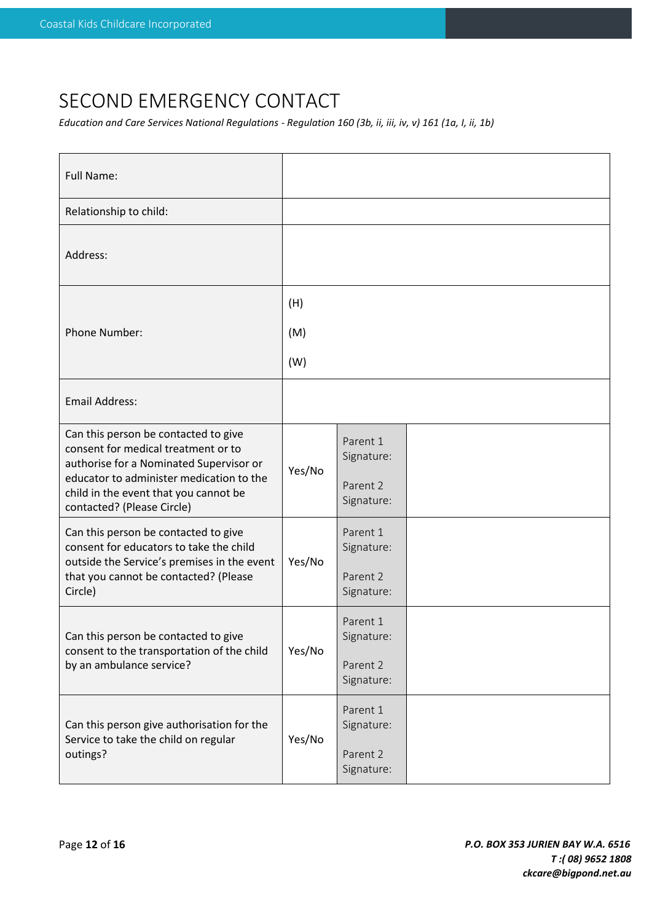## SECOND EMERGENCY CONTACT

*Education and Care Services National Regulations - Regulation 160 (3b, ii, iii, iv, v) 161 (1a, I, ii, 1b)*

| <b>Full Name:</b>                                                                                                                                                                                                                         |        |                                                  |  |
|-------------------------------------------------------------------------------------------------------------------------------------------------------------------------------------------------------------------------------------------|--------|--------------------------------------------------|--|
| Relationship to child:                                                                                                                                                                                                                    |        |                                                  |  |
| Address:                                                                                                                                                                                                                                  |        |                                                  |  |
|                                                                                                                                                                                                                                           | (H)    |                                                  |  |
| Phone Number:                                                                                                                                                                                                                             | (M)    |                                                  |  |
|                                                                                                                                                                                                                                           | (W)    |                                                  |  |
| <b>Email Address:</b>                                                                                                                                                                                                                     |        |                                                  |  |
| Can this person be contacted to give<br>consent for medical treatment or to<br>authorise for a Nominated Supervisor or<br>educator to administer medication to the<br>child in the event that you cannot be<br>contacted? (Please Circle) | Yes/No | Parent 1<br>Signature:<br>Parent 2<br>Signature: |  |
| Can this person be contacted to give<br>consent for educators to take the child<br>outside the Service's premises in the event<br>that you cannot be contacted? (Please<br>Circle)                                                        | Yes/No | Parent 1<br>Signature:<br>Parent 2<br>Signature: |  |
| Can this person be contacted to give<br>consent to the transportation of the child<br>by an ambulance service?                                                                                                                            | Yes/No | Parent 1<br>Signature:<br>Parent 2<br>Signature: |  |
| Can this person give authorisation for the<br>Service to take the child on regular<br>outings?                                                                                                                                            | Yes/No | Parent 1<br>Signature:<br>Parent 2<br>Signature: |  |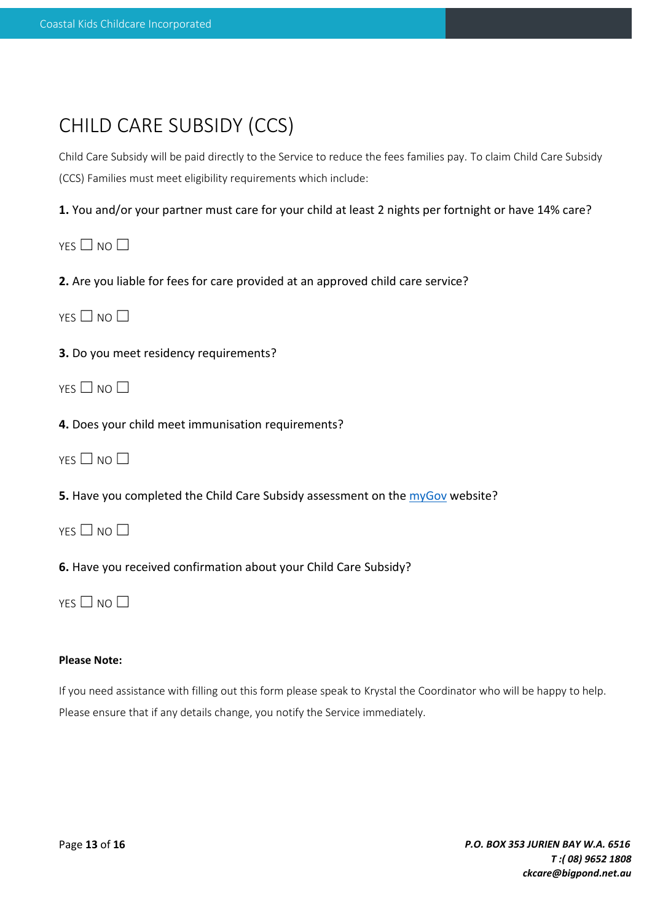| CHILD CARE SUBSIDY (CCS) |  |
|--------------------------|--|
|--------------------------|--|

Child Care Subsidy will be paid directly to the Service to reduce the fees families pay. To claim Child Care Subsidy (CCS) Families must meet eligibility requirements which include:

**1.** You and/or your partner must care for your child at least 2 nights per fortnight or have 14% care?

YES □ NO □

**2.** Are you liable for fees for care provided at an approved child care service?

 $YFS \Box NO \Box$ 

**3.** Do you meet residency requirements?

 $YES \Box NO \Box$ 

**4.** Does your child meet immunisation requirements?

YES □ NO □

**5.** Have you completed the Child Care Subsidy assessment on the **[myGov](https://my.gov.au/LoginServices/main/login?execution=e2s1)** website?

YES □ NO □

**6.** Have you received confirmation about your Child Care Subsidy?

 $YFS \Box NO \Box$ 

#### **Please Note:**

If you need assistance with filling out this form please speak to Krystal the Coordinator who will be happy to help. Please ensure that if any details change, you notify the Service immediately.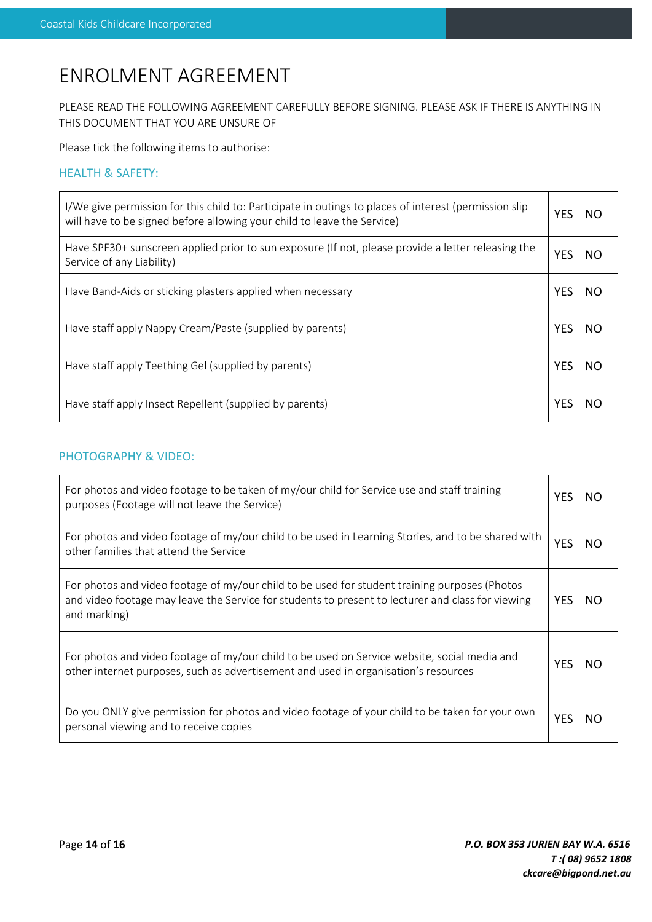# ENROLMENT AGREEMENT

PLEASE READ THE FOLLOWING AGREEMENT CAREFULLY BEFORE SIGNING. PLEASE ASK IF THERE IS ANYTHING IN THIS DOCUMENT THAT YOU ARE UNSURE OF

Please tick the following items to authorise:

### HEALTH & SAFETY:

| I/We give permission for this child to: Participate in outings to places of interest (permission slip<br>will have to be signed before allowing your child to leave the Service) | <b>YES</b> | NO. |
|----------------------------------------------------------------------------------------------------------------------------------------------------------------------------------|------------|-----|
| Have SPF30+ sunscreen applied prior to sun exposure (If not, please provide a letter releasing the<br>Service of any Liability)                                                  | <b>YES</b> | NO. |
| Have Band-Aids or sticking plasters applied when necessary                                                                                                                       | <b>YES</b> | NO. |
| Have staff apply Nappy Cream/Paste (supplied by parents)                                                                                                                         | <b>YES</b> | NO. |
| Have staff apply Teething Gel (supplied by parents)                                                                                                                              | <b>YES</b> | NO. |
| Have staff apply Insect Repellent (supplied by parents)                                                                                                                          | YES        | NO. |

### PHOTOGRAPHY & VIDEO:

| For photos and video footage to be taken of my/our child for Service use and staff training<br>purposes (Footage will not leave the Service)                                                                       |            | NO. |
|--------------------------------------------------------------------------------------------------------------------------------------------------------------------------------------------------------------------|------------|-----|
| For photos and video footage of my/our child to be used in Learning Stories, and to be shared with<br>other families that attend the Service                                                                       | <b>YES</b> | NO. |
| For photos and video footage of my/our child to be used for student training purposes (Photos<br>and video footage may leave the Service for students to present to lecturer and class for viewing<br>and marking) | <b>YES</b> | NO. |
| For photos and video footage of my/our child to be used on Service website, social media and<br>other internet purposes, such as advertisement and used in organisation's resources                                | <b>YES</b> | NΟ  |
| Do you ONLY give permission for photos and video footage of your child to be taken for your own<br>personal viewing and to receive copies                                                                          | <b>YES</b> | NO  |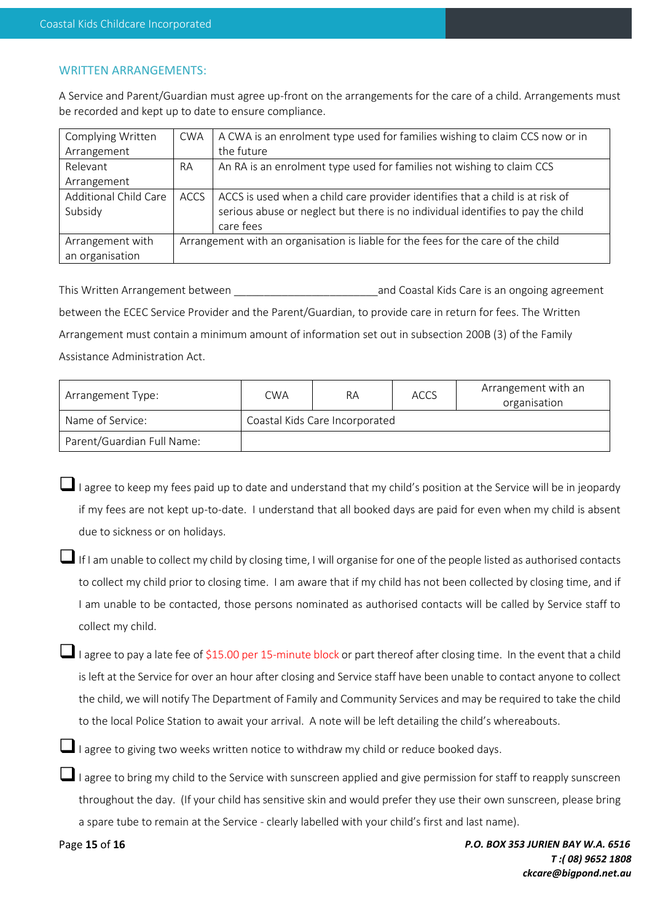#### WRITTEN ARRANGEMENTS:

A Service and Parent/Guardian must agree up-front on the arrangements for the care of a child. Arrangements must be recorded and kept up to date to ensure compliance.

| Complying Written     | <b>CWA</b>                                                                        | A CWA is an enrolment type used for families wishing to claim CCS now or in     |
|-----------------------|-----------------------------------------------------------------------------------|---------------------------------------------------------------------------------|
| Arrangement           |                                                                                   | the future                                                                      |
| Relevant              | <b>RA</b>                                                                         | An RA is an enrolment type used for families not wishing to claim CCS           |
| Arrangement           |                                                                                   |                                                                                 |
| Additional Child Care | <b>ACCS</b>                                                                       | ACCS is used when a child care provider identifies that a child is at risk of   |
| Subsidy               |                                                                                   | serious abuse or neglect but there is no individual identifies to pay the child |
|                       |                                                                                   | care fees                                                                       |
| Arrangement with      | Arrangement with an organisation is liable for the fees for the care of the child |                                                                                 |
| an organisation       |                                                                                   |                                                                                 |

This Written Arrangement between **the summan arrangement** and Coastal Kids Care is an ongoing agreement between the ECEC Service Provider and the Parent/Guardian, to provide care in return for fees. The Written Arrangement must contain a minimum amount of information set out in subsection 200B (3) of the Family Assistance Administration Act.

| Arrangement Type:          | <b>CWA</b>                     | RА | ACCS | Arrangement with an<br>organisation |
|----------------------------|--------------------------------|----|------|-------------------------------------|
| Name of Service:           | Coastal Kids Care Incorporated |    |      |                                     |
| Parent/Guardian Full Name: |                                |    |      |                                     |

❑I agree to keep my fees paid up to date and understand that my child's position at the Service will be in jeopardy if my fees are not kept up-to-date. I understand that all booked days are paid for even when my child is absent due to sickness or on holidays.

❑If I am unable to collect my child by closing time, I will organise for one of the people listed as authorised contacts to collect my child prior to closing time. I am aware that if my child has not been collected by closing time, and if I am unable to be contacted, those persons nominated as authorised contacts will be called by Service staff to collect my child.

❑I agree to pay a late fee of \$15.00 per 15-minute block or part thereof after closing time. In the event that a child is left at the Service for over an hour after closing and Service staff have been unable to contact anyone to collect the child, we will notify The Department of Family and Community Services and may be required to take the child to the local Police Station to await your arrival. A note will be left detailing the child's whereabouts.

❑I agree to giving two weeks written notice to withdraw my child or reduce booked days.

❑I agree to bring my child to the Service with sunscreen applied and give permission for staff to reapply sunscreen throughout the day. (If your child has sensitive skin and would prefer they use their own sunscreen, please bring a spare tube to remain at the Service - clearly labelled with your child's first and last name).

Page **15** of **16**

*P.O. BOX 353 JURIEN BAY W.A. 6516 T :( 08) 9652 1808 ckcare@bigpond.net.au*